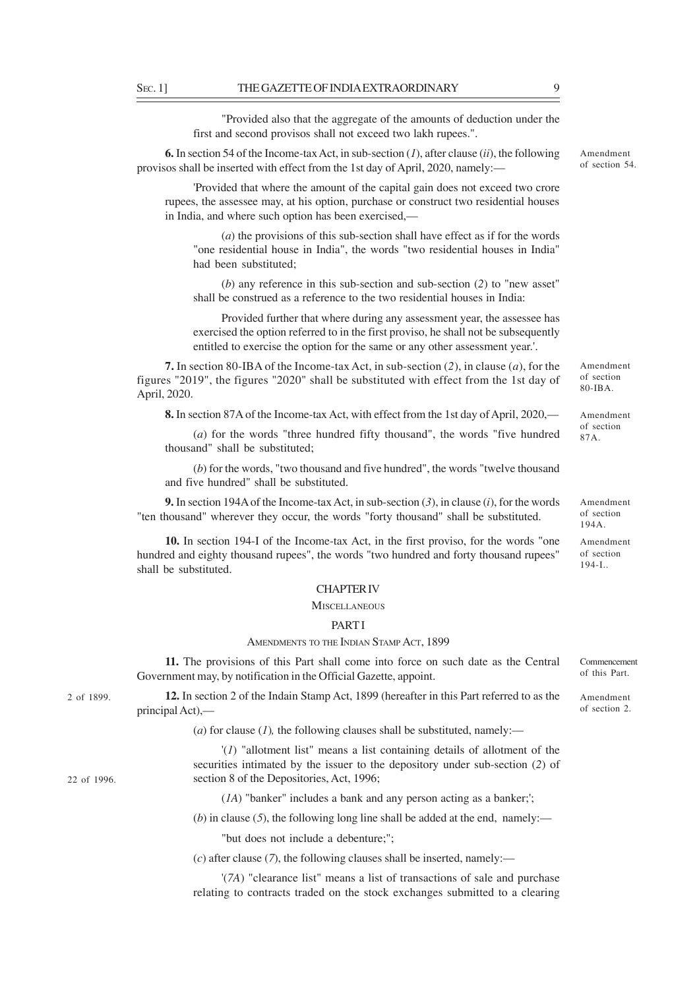"Provided also that the aggregate of the amounts of deduction under the first and second provisos shall not exceed two lakh rupees.".

**6.** In section 54 of the Income-tax Act, in sub-section (*1*), after clause (*ii*), the following provisos shall be inserted with effect from the 1st day of April, 2020, namely:—

'Provided that where the amount of the capital gain does not exceed two crore rupees, the assessee may, at his option, purchase or construct two residential houses in India, and where such option has been exercised,—

(*a*) the provisions of this sub-section shall have effect as if for the words "one residential house in India", the words "two residential houses in India" had been substituted;

(*b*) any reference in this sub-section and sub-section (*2*) to "new asset" shall be construed as a reference to the two residential houses in India:

Provided further that where during any assessment year, the assessee has exercised the option referred to in the first proviso, he shall not be subsequently entitled to exercise the option for the same or any other assessment year.'.

**7.** In section 80-IBA of the Income-tax Act, in sub-section (*2*), in clause (*a*), for the figures "2019", the figures "2020" shall be substituted with effect from the 1st day of April, 2020.

**8.** In section 87A of the Income-tax Act, with effect from the 1st day of April, 2020,—

(*a*) for the words "three hundred fifty thousand", the words "five hundred thousand" shall be substituted;

(*b*) for the words, "two thousand and five hundred", the words "twelve thousand and five hundred" shall be substituted.

**9.** In section 194A of the Income-tax Act, in sub-section (*3*), in clause (*i*), for the words "ten thousand" wherever they occur, the words "forty thousand" shall be substituted.

**10.** In section 194-I of the Income-tax Act, in the first proviso, for the words "one hundred and eighty thousand rupees", the words "two hundred and forty thousand rupees" shall be substituted.

## CHAPTER IV

#### **MISCELLANEOUS**

## **PART I**

### AMENDMENTS TO THE INDIAN STAMP ACT, 1899

**11.** The provisions of this Part shall come into force on such date as the Central Government may, by notification in the Official Gazette, appoint.

**12.** In section 2 of the Indain Stamp Act, 1899 (hereafter in this Part referred to as the principal Act),—

(*a*) for clause (*1*), the following clauses shall be substituted, namely:—

'(*1*) "allotment list" means a list containing details of allotment of the securities intimated by the issuer to the depository under sub-section (*2*) of section 8 of the Depositories, Act, 1996;

(*1A*) "banker" includes a bank and any person acting as a banker;';

 $(b)$  in clause (5), the following long line shall be added at the end, namely:—

"but does not include a debenture;";

(*c*) after clause (*7*), the following clauses shall be inserted, namely:—

'(*7A*) "clearance list" means a list of transactions of sale and purchase relating to contracts traded on the stock exchanges submitted to a clearing

2 of 1899.

22 of 1996.

of section 80-IBA.

Amendment

Amendment of section 87A.

Amendment of section 194A.

Amendment of section 194-I..

Commencement of this Part.

Amendment of section 2.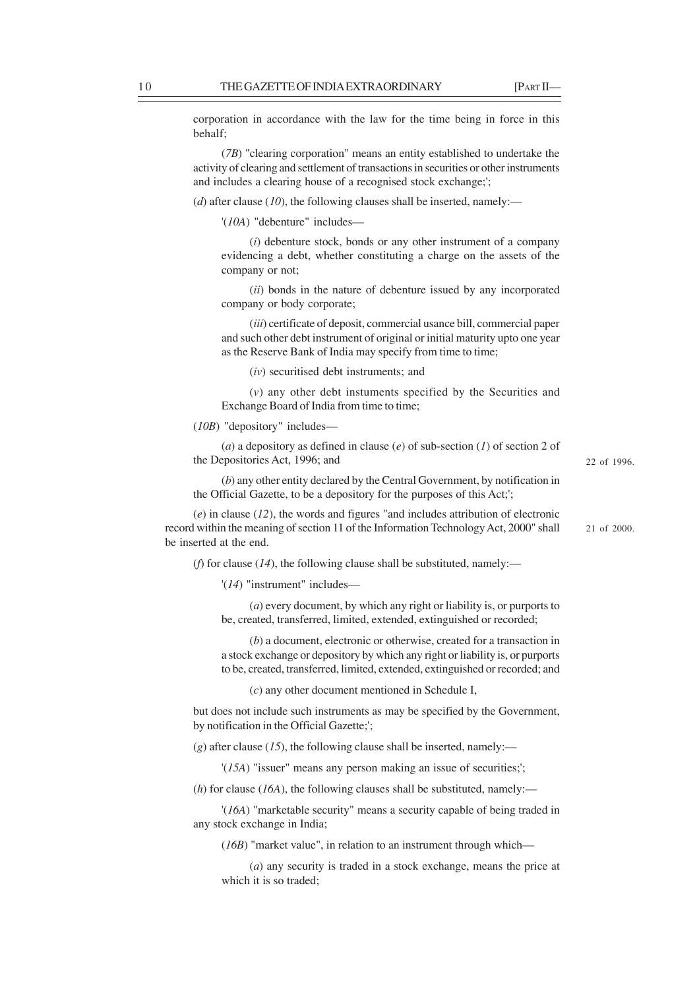22 of 1996.

21 of 2000.

corporation in accordance with the law for the time being in force in this behalf;

(*7B*) "clearing corporation" means an entity established to undertake the activity of clearing and settlement of transactions in securities or other instruments and includes a clearing house of a recognised stock exchange;';

(*d*) after clause (*10*), the following clauses shall be inserted, namely:—

'(*10A*) "debenture" includes—

(*i*) debenture stock, bonds or any other instrument of a company evidencing a debt, whether constituting a charge on the assets of the company or not;

(*ii*) bonds in the nature of debenture issued by any incorporated company or body corporate;

(*iii*) certificate of deposit, commercial usance bill, commercial paper and such other debt instrument of original or initial maturity upto one year as the Reserve Bank of India may specify from time to time;

(*iv*) securitised debt instruments; and

(*v*) any other debt instuments specified by the Securities and Exchange Board of India from time to time;

(*10B*) "depository" includes—

(*a*) a depository as defined in clause (*e*) of sub-section (*1*) of section 2 of the Depositories Act, 1996; and

(*b*) any other entity declared by the Central Government, by notification in the Official Gazette, to be a depository for the purposes of this Act;';

(*e*) in clause (*12*), the words and figures "and includes attribution of electronic record within the meaning of section 11 of the Information Technology Act, 2000" shall be inserted at the end.

(*f*) for clause ( $14$ ), the following clause shall be substituted, namely:—

'(*14*) "instrument" includes—

(*a*) every document, by which any right or liability is, or purports to be, created, transferred, limited, extended, extinguished or recorded;

(*b*) a document, electronic or otherwise, created for a transaction in a stock exchange or depository by which any right or liability is, or purports to be, created, transferred, limited, extended, extinguished or recorded; and

(*c*) any other document mentioned in Schedule I,

but does not include such instruments as may be specified by the Government, by notification in the Official Gazette;';

 $(g)$  after clause (*15*), the following clause shall be inserted, namely:—

'(*15A*) "issuer" means any person making an issue of securities;';

(*h*) for clause (*16A*), the following clauses shall be substituted, namely:—

'(*16A*) "marketable security" means a security capable of being traded in any stock exchange in India;

(*16B*) "market value", in relation to an instrument through which—

(*a*) any security is traded in a stock exchange, means the price at which it is so traded;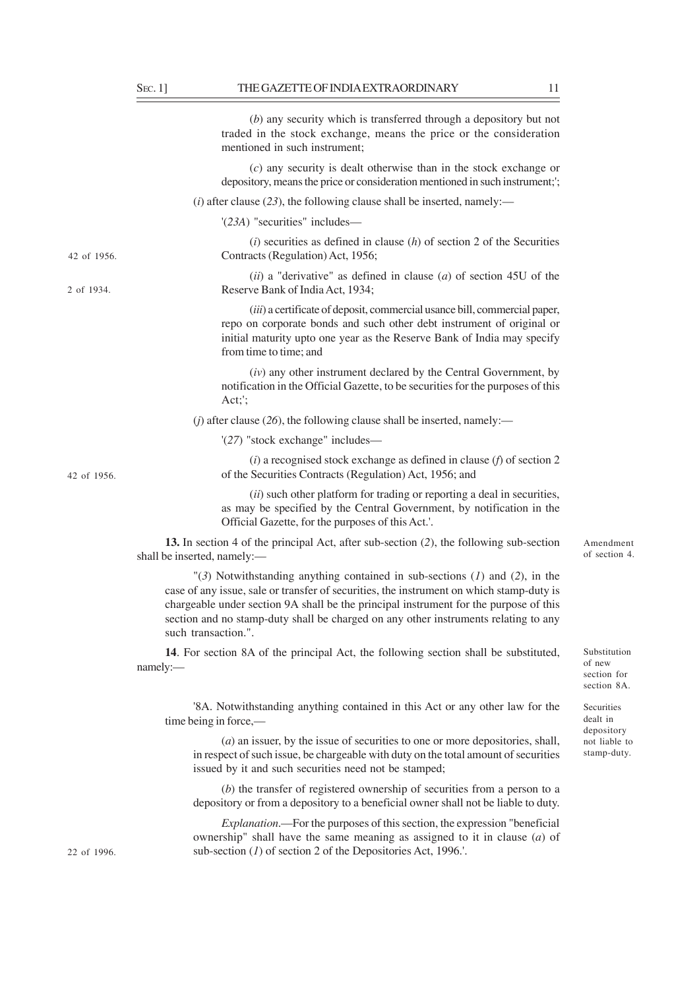|             | $(b)$ any security which is transferred through a depository but not<br>traded in the stock exchange, means the price or the consideration<br>mentioned in such instrument;                                                                                                                                                                                                         |                                                      |
|-------------|-------------------------------------------------------------------------------------------------------------------------------------------------------------------------------------------------------------------------------------------------------------------------------------------------------------------------------------------------------------------------------------|------------------------------------------------------|
|             | $(c)$ any security is dealt otherwise than in the stock exchange or<br>depository, means the price or consideration mentioned in such instrument;';                                                                                                                                                                                                                                 |                                                      |
|             | $(i)$ after clause (23), the following clause shall be inserted, namely:—                                                                                                                                                                                                                                                                                                           |                                                      |
|             | '(23A) "securities" includes—                                                                                                                                                                                                                                                                                                                                                       |                                                      |
| 42 of 1956. | $(i)$ securities as defined in clause $(h)$ of section 2 of the Securities<br>Contracts (Regulation) Act, 1956;                                                                                                                                                                                                                                                                     |                                                      |
| 2 of 1934.  | (ii) a "derivative" as defined in clause (a) of section 45U of the<br>Reserve Bank of India Act, 1934;                                                                                                                                                                                                                                                                              |                                                      |
|             | (iii) a certificate of deposit, commercial usance bill, commercial paper,<br>repo on corporate bonds and such other debt instrument of original or<br>initial maturity upto one year as the Reserve Bank of India may specify<br>from time to time; and                                                                                                                             |                                                      |
|             | (iv) any other instrument declared by the Central Government, by<br>notification in the Official Gazette, to be securities for the purposes of this<br>Act;';                                                                                                                                                                                                                       |                                                      |
|             | ( <i>j</i> ) after clause (26), the following clause shall be inserted, namely:—                                                                                                                                                                                                                                                                                                    |                                                      |
|             | '(27) "stock exchange" includes—                                                                                                                                                                                                                                                                                                                                                    |                                                      |
| 42 of 1956. | $(i)$ a recognised stock exchange as defined in clause $(f)$ of section 2<br>of the Securities Contracts (Regulation) Act, 1956; and                                                                                                                                                                                                                                                |                                                      |
|             | (ii) such other platform for trading or reporting a deal in securities,<br>as may be specified by the Central Government, by notification in the<br>Official Gazette, for the purposes of this Act.'.                                                                                                                                                                               |                                                      |
|             | 13. In section 4 of the principal Act, after sub-section (2), the following sub-section<br>shall be inserted, namely:-                                                                                                                                                                                                                                                              | Amendment<br>of section 4.                           |
|             | "(3) Notwithstanding anything contained in sub-sections $(1)$ and $(2)$ , in the<br>case of any issue, sale or transfer of securities, the instrument on which stamp-duty is<br>chargeable under section 9A shall be the principal instrument for the purpose of this<br>section and no stamp-duty shall be charged on any other instruments relating to any<br>such transaction.". |                                                      |
|             | 14. For section 8A of the principal Act, the following section shall be substituted,<br>namely:-                                                                                                                                                                                                                                                                                    | Substitution<br>of new<br>section for<br>section 8A. |
|             | '8A. Notwithstanding anything contained in this Act or any other law for the<br>time being in force,—                                                                                                                                                                                                                                                                               | Securities<br>dealt in<br>depository                 |
|             | $(a)$ an issuer, by the issue of securities to one or more depositories, shall,<br>in respect of such issue, be chargeable with duty on the total amount of securities<br>issued by it and such securities need not be stamped;                                                                                                                                                     | not liable to<br>stamp-duty.                         |
|             | $(b)$ the transfer of registered ownership of securities from a person to a<br>depository or from a depository to a beneficial owner shall not be liable to duty.                                                                                                                                                                                                                   |                                                      |

*Explanation*.—For the purposes of this section, the expression "beneficial ownership" shall have the same meaning as assigned to it in clause (*a*) of sub-section (*1*) of section 2 of the Depositories Act, 1996.'.

22 of 1996.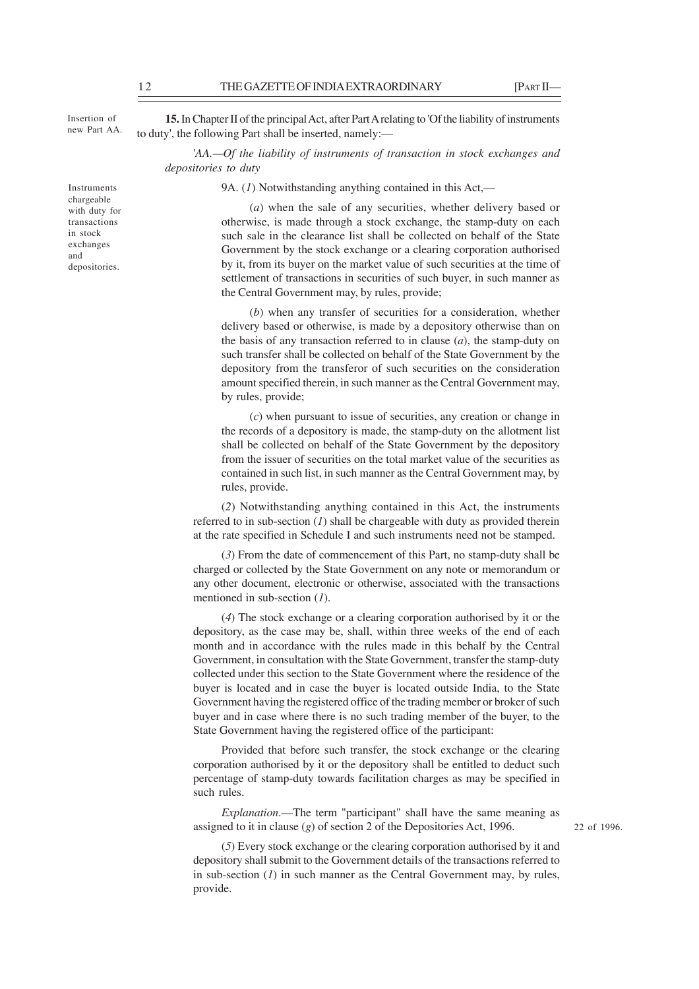Insertion of new Part AA.

Instruments chargeable with duty for transactions in stock exchanges and depositories.

**15.** In Chapter II of the principal Act, after Part A relating to 'Of the liability of instruments to duty', the following Part shall be inserted, namely:—

'*AA.—Of the liability of instruments of transaction in stock exchanges and depositories to duty*

9A. (*1*) Notwithstanding anything contained in this Act,—

(*a*) when the sale of any securities, whether delivery based or otherwise, is made through a stock exchange, the stamp-duty on each such sale in the clearance list shall be collected on behalf of the State Government by the stock exchange or a clearing corporation authorised by it, from its buyer on the market value of such securities at the time of settlement of transactions in securities of such buyer, in such manner as the Central Government may, by rules, provide;

(*b*) when any transfer of securities for a consideration, whether delivery based or otherwise, is made by a depository otherwise than on the basis of any transaction referred to in clause (*a*), the stamp-duty on such transfer shall be collected on behalf of the State Government by the depository from the transferor of such securities on the consideration amount specified therein, in such manner as the Central Government may, by rules, provide;

(*c*) when pursuant to issue of securities, any creation or change in the records of a depository is made, the stamp-duty on the allotment list shall be collected on behalf of the State Government by the depository from the issuer of securities on the total market value of the securities as contained in such list, in such manner as the Central Government may, by rules, provide.

(*2*) Notwithstanding anything contained in this Act, the instruments referred to in sub-section (*1*) shall be chargeable with duty as provided therein at the rate specified in Schedule I and such instruments need not be stamped.

(*3*) From the date of commencement of this Part, no stamp-duty shall be charged or collected by the State Government on any note or memorandum or any other document, electronic or otherwise, associated with the transactions mentioned in sub-section (*1*).

(*4*) The stock exchange or a clearing corporation authorised by it or the depository, as the case may be, shall, within three weeks of the end of each month and in accordance with the rules made in this behalf by the Central Government, in consultation with the State Government, transfer the stamp-duty collected under this section to the State Government where the residence of the buyer is located and in case the buyer is located outside India, to the State Government having the registered office of the trading member or broker of such buyer and in case where there is no such trading member of the buyer, to the State Government having the registered office of the participant:

Provided that before such transfer, the stock exchange or the clearing corporation authorised by it or the depository shall be entitled to deduct such percentage of stamp-duty towards facilitation charges as may be specified in such rules

*Explanation*.—The term "participant" shall have the same meaning as assigned to it in clause (*g*) of section 2 of the Depositories Act, 1996.

(*5*) Every stock exchange or the clearing corporation authorised by it and depository shall submit to the Government details of the transactions referred to in sub-section (*1*) in such manner as the Central Government may, by rules, provide.

22 of 1996.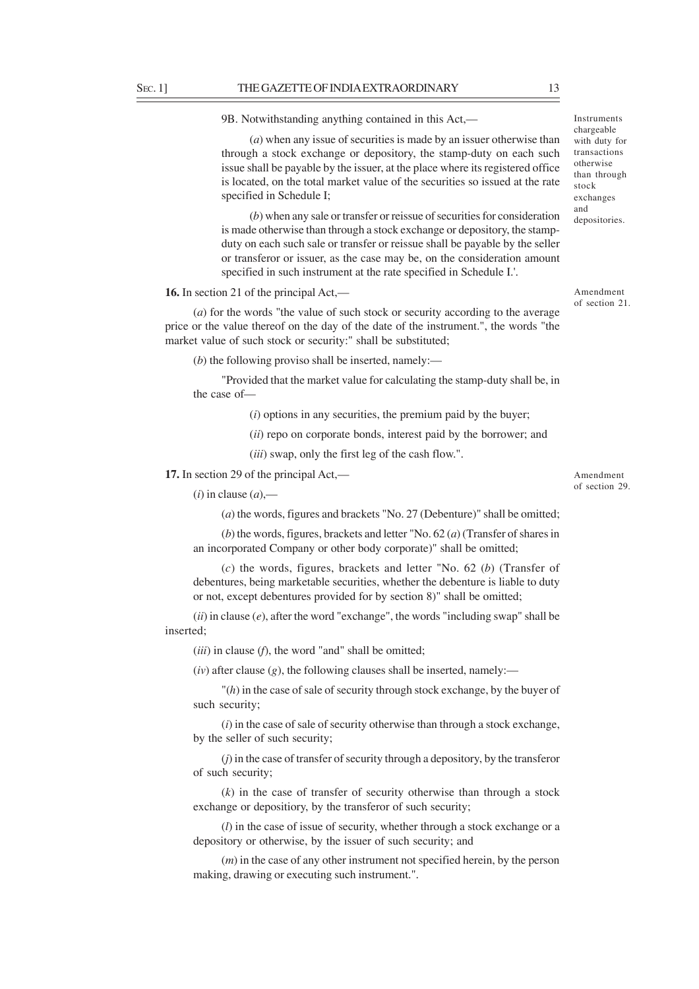9B. Notwithstanding anything contained in this Act,—

(*a*) when any issue of securities is made by an issuer otherwise than through a stock exchange or depository, the stamp-duty on each such issue shall be payable by the issuer, at the place where its registered office is located, on the total market value of the securities so issued at the rate specified in Schedule I;

(*b*) when any sale or transfer or reissue of securities for consideration is made otherwise than through a stock exchange or depository, the stampduty on each such sale or transfer or reissue shall be payable by the seller or transferor or issuer, as the case may be, on the consideration amount specified in such instrument at the rate specified in Schedule I.'.

# **16.** In section 21 of the principal Act,—

(*a*) for the words "the value of such stock or security according to the average price or the value thereof on the day of the date of the instrument.", the words "the market value of such stock or security:" shall be substituted;

(*b*) the following proviso shall be inserted, namely:—

"Provided that the market value for calculating the stamp-duty shall be, in the case of—

(*i*) options in any securities, the premium paid by the buyer;

(*ii*) repo on corporate bonds, interest paid by the borrower; and

(*iii*) swap, only the first leg of the cash flow.".

**17.** In section 29 of the principal Act,—

 $(i)$  in clause  $(a)$ ,—

(*a*) the words, figures and brackets "No. 27 (Debenture)" shall be omitted;

(*b*) the words, figures, brackets and letter "No. 62 (*a*) (Transfer of shares in an incorporated Company or other body corporate)" shall be omitted;

(*c*) the words, figures, brackets and letter "No. 62 (*b*) (Transfer of debentures, being marketable securities, whether the debenture is liable to duty or not, except debentures provided for by section 8)" shall be omitted;

(*ii*) in clause (*e*), after the word "exchange", the words "including swap" shall be inserted;

(*iii*) in clause (*f*), the word "and" shall be omitted;

 $(iv)$  after clause  $(g)$ , the following clauses shall be inserted, namely:—

"(*h*) in the case of sale of security through stock exchange, by the buyer of such security;

(*i*) in the case of sale of security otherwise than through a stock exchange, by the seller of such security;

(*j*) in the case of transfer of security through a depository, by the transferor of such security;

(*k*) in the case of transfer of security otherwise than through a stock exchange or depositiory, by the transferor of such security;

(*l*) in the case of issue of security, whether through a stock exchange or a depository or otherwise, by the issuer of such security; and

(*m*) in the case of any other instrument not specified herein, by the person making, drawing or executing such instrument.".

Instruments chargeable with duty for transactions otherwise than through stock exchanges and depositories.

Amendment of section 21.

Amendment of section 29.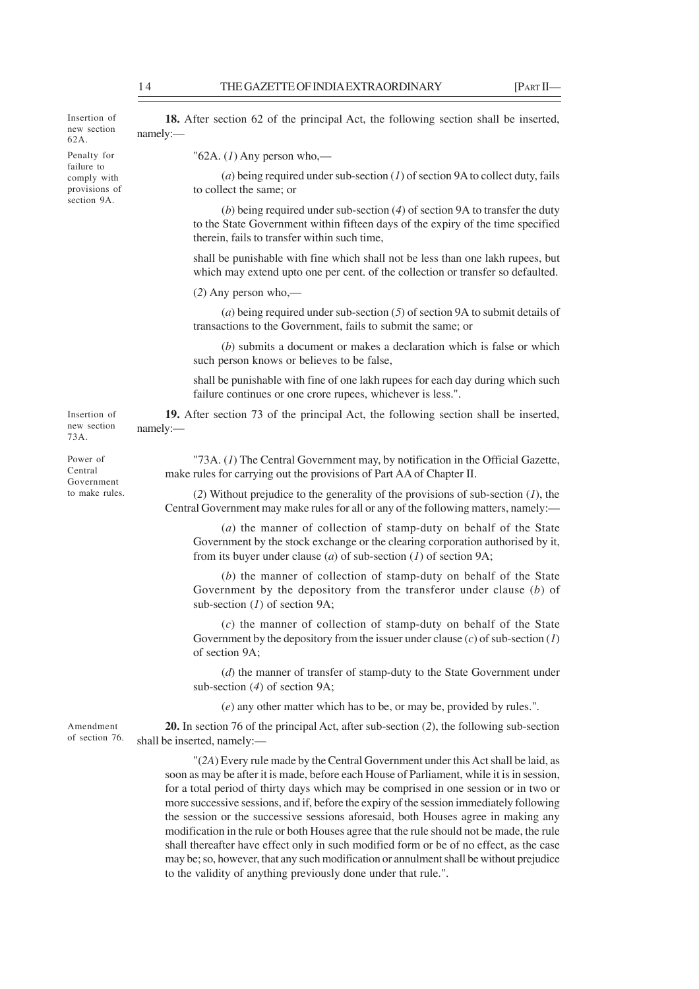Insertion of new section 62A.

Penalty for failure to comply with provisions of section 9A.

**18.** After section 62 of the principal Act, the following section shall be inserted, namely:—

"62A. (*1*) Any person who,—

(*a*) being required under sub-section (*1*) of section 9A to collect duty, fails to collect the same; or

(*b*) being required under sub-section (*4*) of section 9A to transfer the duty to the State Government within fifteen days of the expiry of the time specified therein, fails to transfer within such time,

shall be punishable with fine which shall not be less than one lakh rupees, but which may extend upto one per cent. of the collection or transfer so defaulted.

(*2*) Any person who,—

(*a*) being required under sub-section (*5*) of section 9A to submit details of transactions to the Government, fails to submit the same; or

(*b*) submits a document or makes a declaration which is false or which such person knows or believes to be false,

shall be punishable with fine of one lakh rupees for each day during which such failure continues or one crore rupees, whichever is less.".

**19.** After section 73 of the principal Act, the following section shall be inserted, namely:—

Power of Central Government to make rules.

Insertion of new section 73A.

> "73A. (*1*) The Central Government may, by notification in the Official Gazette, make rules for carrying out the provisions of Part AA of Chapter II.

> (*2*) Without prejudice to the generality of the provisions of sub-section (*1*), the Central Government may make rules for all or any of the following matters, namely:—

(*a*) the manner of collection of stamp-duty on behalf of the State Government by the stock exchange or the clearing corporation authorised by it, from its buyer under clause (*a*) of sub-section (*1*) of section 9A;

(*b*) the manner of collection of stamp-duty on behalf of the State Government by the depository from the transferor under clause (*b*) of sub-section (*1*) of section 9A;

(*c*) the manner of collection of stamp-duty on behalf of the State Government by the depository from the issuer under clause (*c*) of sub-section (*1*) of section 9A;

(*d*) the manner of transfer of stamp-duty to the State Government under sub-section (*4*) of section 9A;

(*e*) any other matter which has to be, or may be, provided by rules.".

**20.** In section 76 of the principal Act, after sub-section (*2*), the following sub-section shall be inserted, namely:— Amendment of section 76.

> "(*2A*) Every rule made by the Central Government under this Act shall be laid, as soon as may be after it is made, before each House of Parliament, while it is in session, for a total period of thirty days which may be comprised in one session or in two or more successive sessions, and if, before the expiry of the session immediately following the session or the successive sessions aforesaid, both Houses agree in making any modification in the rule or both Houses agree that the rule should not be made, the rule shall thereafter have effect only in such modified form or be of no effect, as the case may be; so, however, that any such modification or annulment shall be without prejudice to the validity of anything previously done under that rule.".